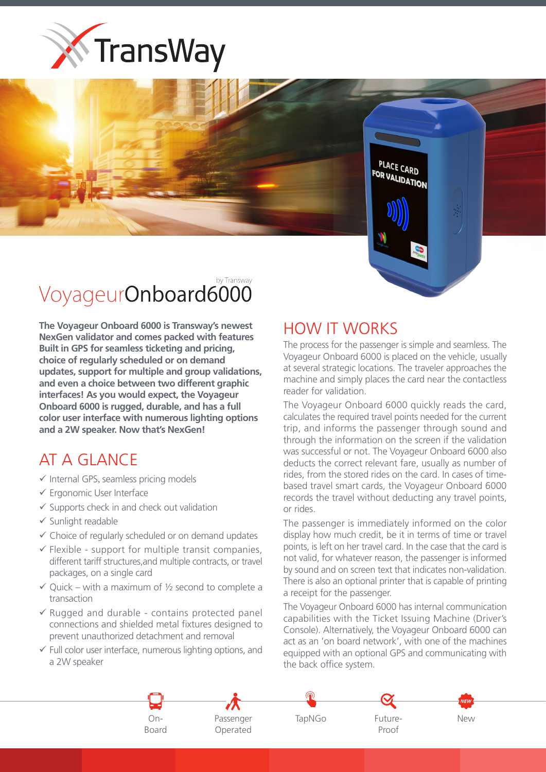



## by Transway VoyageurOnboard6000

**The Vovageur Onboard 6000 is Transway's newest NexGen validator and comes packed with features Built in GPS for seamless ticketing and pricing,** choice of regularly scheduled or on demand updates, support for multiple and group validations, and even a choice between two different graphic interfaces! As you would expect, the Voyageur **Onboard 6000 is rugged, durable, and has a full** color user interface with numerous lighting options and a 2W speaker. Now that's NexGen!

## AT A GLANCE

- $\checkmark$  Internal GPS, seamless pricing models
- $\checkmark$  Ergonomic User Interface
- $\checkmark$  Supports check in and check out validation
- $\checkmark$  Sunlight readable
- $\checkmark$  Choice of regularly scheduled or on demand updates
- $\checkmark$  Flexible support for multiple transit companies, different tariff structures, and multiple contracts, or travel packages, on a single card
- $\checkmark$  Quick with a maximum of  $\frac{1}{2}$  second to complete a transaction
- $\checkmark$  Rugged and durable contains protected panel connections and shielded metal fixtures designed to prevent unauthorized detachment and removal
- $\checkmark$  Full color user interface, numerous lighting options, and a 2W speaker

## HOW IT WORKS

The process for the passenger is simple and seamless. The Voyageur Onboard 6000 is placed on the vehicle, usually at several strategic locations. The traveler approaches the machine and simply places the card near the contactless reader for validation.

The Voyageur Onboard 6000 quickly reads the card, calculates the required travel points needed for the current trip, and informs the passenger through sound and through the information on the screen if the validation was successful or not. The Voyageur Onboard 6000 also deducts the correct relevant fare, usually as number of based travel smart cards, the Voyageur Onboard 6000 rides, from the stored rides on the card. In cases of timerecords the travel without deducting any travel points, or rides.

The passenger is immediately informed on the color display how much credit, be it in terms of time or travel points, is left on her travel card. In the case that the card is not valid, for whatever reason, the passenger is informed by sound and on screen text that indicates non-validation. There is also an optional printer that is capable of printing a receipt for the passenger.

The Voyageur Onboard 6000 has internal communication capabilities with the Ticket Issuing Machine (Driver's Console). Alternatively, the Voyageur Onboard 6000 can act as an 'on board network', with one of the machines equipped with an optional GPS and communicating with the back office system.



OnPassenger
TapNGo Operated



Proof

New